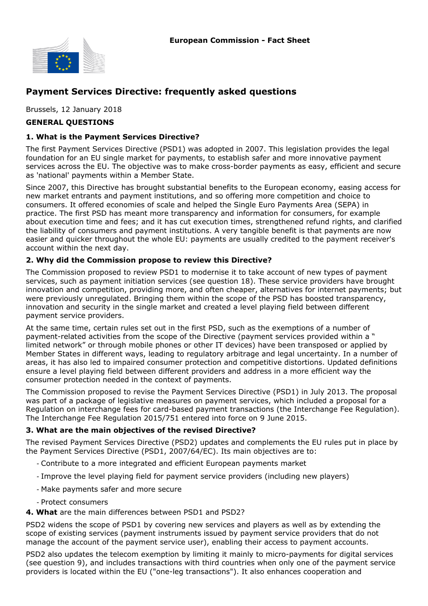

# **Payment Services Directive: frequently asked questions**

Brussels, 12 January 2018

#### **GENERAL QUESTIONS**

#### **1. What is the Payment Services Directive?**

The first Payment Services Directive (PSD1) was adopted in 2007. This legislation provides the legal foundation for an EU single market for payments, to establish safer and more innovative payment services across the EU. The objective was to make cross-border payments as easy, efficient and secure as 'national' payments within a Member State.

Since 2007, this Directive has brought substantial benefits to the European economy, easing access for new market entrants and payment institutions, and so offering more competition and choice to consumers. It offered economies of scale and helped the Single Euro Payments Area (SEPA) in practice. The first PSD has meant more transparency and information for consumers, for example about execution time and fees; and it has cut execution times, strengthened refund rights, and clarified the liability of consumers and payment institutions. A very tangible benefit is that payments are now easier and quicker throughout the whole EU: payments are usually credited to the payment receiver's account within the next day.

### **2. Why did the Commission propose to review this Directive?**

The Commission proposed to review PSD1 to modernise it to take account of new types of payment services, such as payment initiation services (see question 18). These service providers have brought innovation and competition, providing more, and often cheaper, alternatives for internet payments; but were previously unregulated. Bringing them within the scope of the PSD has boosted transparency, innovation and security in the single market and created a level playing field between different payment service providers.

At the same time, certain rules set out in the first PSD, such as the exemptions of a number of payment-related activities from the scope of the Directive (payment services provided within a " limited network" or through mobile phones or other IT devices) have been transposed or applied by Member States in different ways, leading to regulatory arbitrage and legal uncertainty. In a number of areas, it has also led to impaired consumer protection and competitive distortions. Updated definitions ensure a level playing field between different providers and address in a more efficient way the consumer protection needed in the context of payments.

The Commission proposed to revise the Payment Services Directive (PSD1) in July 2013. The proposal was part of a package of legislative measures on payment services, which included a proposal for a Regulation on interchange fees for card-based payment transactions (the Interchange Fee Regulation). The Interchange Fee Regulation 2015/751 entered into force on 9 June 2015.

#### **3. What are the main objectives of the revised Directive?**

The revised Payment Services Directive (PSD2) updates and complements the EU rules put in place by the Payment Services Directive (PSD1, 2007/64/EC). Its main objectives are to:

- Contribute to a more integrated and efficient European payments market
- Improve the level playing field for payment service providers (including new players)
- Make payments safer and more secure
- Protect consumers
- **4. What** are the main differences between PSD1 and PSD2?

PSD2 widens the scope of PSD1 by covering new services and players as well as by extending the scope of existing services (payment instruments issued by payment service providers that do not manage the account of the payment service user), enabling their access to payment accounts.

PSD2 also updates the telecom exemption by limiting it mainly to micro-payments for digital services (see question 9), and includes transactions with third countries when only one of the payment service providers is located within the EU ("one-leg transactions"). It also enhances cooperation and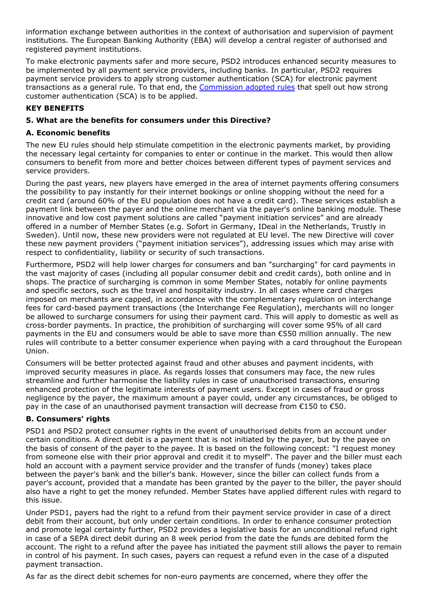information exchange between authorities in the context of authorisation and supervision of payment institutions. The European Banking Authority (EBA) will develop a central register of authorised and registered payment institutions.

To make electronic payments safer and more secure, PSD2 introduces enhanced security measures to be implemented by all payment service providers, including banks. In particular, PSD2 requires payment service providers to apply strong customer authentication (SCA) for electronic payment transactions as a general rule. To that end, the [Commission adopted rules](http://europa.eu/rapid/press-release_IP-17-4928_en.htm) that spell out how strong customer authentication (SCA) is to be applied.

## **KEY BENEFITS**

## **5. What are the benefits for consumers under this Directive?**

### **A. Economic benefits**

The new EU rules should help stimulate competition in the electronic payments market, by providing the necessary legal certainty for companies to enter or continue in the market. This would then allow consumers to benefit from more and better choices between different types of payment services and service providers.

During the past years, new players have emerged in the area of internet payments offering consumers the possibility to pay instantly for their internet bookings or online shopping without the need for a credit card (around 60% of the EU population does not have a credit card). These services establish a payment link between the payer and the online merchant via the payer's online banking module. These innovative and low cost payment solutions are called "payment initiation services" and are already offered in a number of Member States (e.g. Sofort in Germany, IDeal in the Netherlands, Trustly in Sweden). Until now, these new providers were not regulated at EU level. The new Directive will cover these new payment providers ("payment initiation services"), addressing issues which may arise with respect to confidentiality, liability or security of such transactions.

Furthermore, PSD2 will help lower charges for consumers and ban "surcharging" for card payments in the vast majority of cases (including all popular consumer debit and credit cards), both online and in shops. The practice of surcharging is common in some Member States, notably for online payments and specific sectors, such as the travel and hospitality industry. In all cases where card charges imposed on merchants are capped, in accordance with the complementary regulation on interchange fees for card-based payment transactions (the Interchange Fee Regulation), merchants will no longer be allowed to surcharge consumers for using their payment card. This will apply to domestic as well as cross-border payments. In practice, the prohibition of surcharging will cover some 95% of all card payments in the EU and consumers would be able to save more than €550 million annually. The new rules will contribute to a better consumer experience when paying with a card throughout the European Union.

Consumers will be better protected against fraud and other abuses and payment incidents, with improved security measures in place. As regards losses that consumers may face, the new rules streamline and further harmonise the liability rules in case of unauthorised transactions, ensuring enhanced protection of the legitimate interests of payment users. Except in cases of fraud or gross negligence by the payer, the maximum amount a payer could, under any circumstances, be obliged to pay in the case of an unauthorised payment transaction will decrease from €150 to €50.

### **B. Consumers' rights**

PSD1 and PSD2 protect consumer rights in the event of unauthorised debits from an account under certain conditions. A direct debit is a payment that is not initiated by the payer, but by the payee on the basis of consent of the payer to the payee. It is based on the following concept: "I request money from someone else with their prior approval and credit it to myself". The payer and the biller must each hold an account with a payment service provider and the transfer of funds (money) takes place between the payer's bank and the biller's bank. However, since the biller can collect funds from a payer's account, provided that a mandate has been granted by the payer to the biller, the payer should also have a right to get the money refunded. Member States have applied different rules with regard to this issue.

Under PSD1, payers had the right to a refund from their payment service provider in case of a direct debit from their account, but only under certain conditions. In order to enhance consumer protection and promote legal certainty further, PSD2 provides a legislative basis for an unconditional refund right in case of a SEPA direct debit during an 8 week period from the date the funds are debited form the account. The right to a refund after the payee has initiated the payment still allows the payer to remain in control of his payment. In such cases, payers can request a refund even in the case of a disputed payment transaction.

As far as the direct debit schemes for non-euro payments are concerned, where they offer the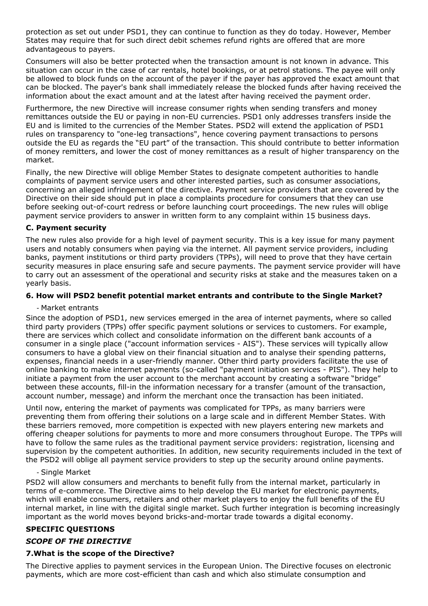protection as set out under PSD1, they can continue to function as they do today. However, Member States may require that for such direct debit schemes refund rights are offered that are more advantageous to payers.

Consumers will also be better protected when the transaction amount is not known in advance. This situation can occur in the case of car rentals, hotel bookings, or at petrol stations. The payee will only be allowed to block funds on the account of the payer if the payer has approved the exact amount that can be blocked. The payer's bank shall immediately release the blocked funds after having received the information about the exact amount and at the latest after having received the payment order.

Furthermore, the new Directive will increase consumer rights when sending transfers and money remittances outside the EU or paying in non-EU currencies. PSD1 only addresses transfers inside the EU and is limited to the currencies of the Member States. PSD2 will extend the application of PSD1 rules on transparency to "one-leg transactions", hence covering payment transactions to persons outside the EU as regards the "EU part" of the transaction. This should contribute to better information of money remitters, and lower the cost of money remittances as a result of higher transparency on the market.

Finally, the new Directive will oblige Member States to designate competent authorities to handle complaints of payment service users and other interested parties, such as consumer associations, concerning an alleged infringement of the directive. Payment service providers that are covered by the Directive on their side should put in place a complaints procedure for consumers that they can use before seeking out-of-court redress or before launching court proceedings. The new rules will oblige payment service providers to answer in written form to any complaint within 15 business days.

### **C. Payment security**

The new rules also provide for a high level of payment security. This is a key issue for many payment users and notably consumers when paying via the internet. All payment service providers, including banks, payment institutions or third party providers (TPPs), will need to prove that they have certain security measures in place ensuring safe and secure payments. The payment service provider will have to carry out an assessment of the operational and security risks at stake and the measures taken on a yearly basis.

### **6. How will PSD2 benefit potential market entrants and contribute to the Single Market?**

#### - Market entrants

Since the adoption of PSD1, new services emerged in the area of internet payments, where so called third party providers (TPPs) offer specific payment solutions or services to customers. For example, there are services which collect and consolidate information on the different bank accounts of a consumer in a single place ("account information services - AIS"). These services will typically allow consumers to have a global view on their financial situation and to analyse their spending patterns, expenses, financial needs in a user-friendly manner. Other third party providers facilitate the use of online banking to make internet payments (so-called "payment initiation services - PIS"). They help to initiate a payment from the user account to the merchant account by creating a software "bridge" between these accounts, fill-in the information necessary for a transfer (amount of the transaction, account number, message) and inform the merchant once the transaction has been initiated.

Until now, entering the market of payments was complicated for TPPs, as many barriers were preventing them from offering their solutions on a large scale and in different Member States. With these barriers removed, more competition is expected with new players entering new markets and offering cheaper solutions for payments to more and more consumers throughout Europe. The TPPs will have to follow the same rules as the traditional payment service providers: registration, licensing and supervision by the competent authorities. In addition, new security requirements included in the text of the PSD2 will oblige all payment service providers to step up the security around online payments.

#### - Single Market

PSD2 will allow consumers and merchants to benefit fully from the internal market, particularly in terms of e-commerce. The Directive aims to help develop the EU market for electronic payments, which will enable consumers, retailers and other market players to enjoy the full benefits of the EU internal market, in line with the digital single market. Such further integration is becoming increasingly important as the world moves beyond bricks-and-mortar trade towards a digital economy.

### **SPECIFIC QUESTIONS**

### *SCOPE OF THE DIRECTIVE*

### **7.What is the scope of the Directive?**

The Directive applies to payment services in the European Union. The Directive focuses on electronic payments, which are more cost-efficient than cash and which also stimulate consumption and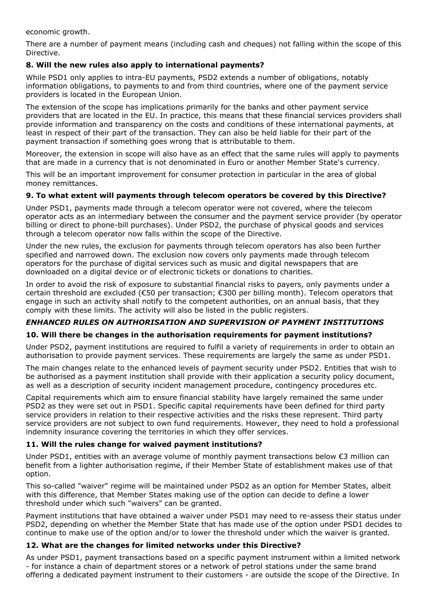economic growth.

There are a number of payment means (including cash and cheques) not falling within the scope of this Directive.

## **8. Will the new rules also apply to international payments?**

While PSD1 only applies to intra-EU payments, PSD2 extends a number of obligations, notably information obligations, to payments to and from third countries, where one of the payment service providers is located in the European Union.

The extension of the scope has implications primarily for the banks and other payment service providers that are located in the EU. In practice, this means that these financial services providers shall provide information and transparency on the costs and conditions of these international payments, at least in respect of their part of the transaction. They can also be held liable for their part of the payment transaction if something goes wrong that is attributable to them.

Moreover, the extension in scope will also have as an effect that the same rules will apply to payments that are made in a currency that is not denominated in Euro or another Member State's currency.

This will be an important improvement for consumer protection in particular in the area of global money remittances.

### **9. To what extent will payments through telecom operators be covered by this Directive?**

Under PSD1, payments made through a telecom operator were not covered, where the telecom operator acts as an intermediary between the consumer and the payment service provider (by operator billing or direct to phone-bill purchases). Under PSD2, the purchase of physical goods and services through a telecom operator now falls within the scope of the Directive.

Under the new rules, the exclusion for payments through telecom operators has also been further specified and narrowed down. The exclusion now covers only payments made through telecom operators for the purchase of digital services such as music and digital newspapers that are downloaded on a digital device or of electronic tickets or donations to charities.

In order to avoid the risk of exposure to substantial financial risks to payers, only payments under a certain threshold are excluded (€50 per transaction; €300 per billing month). Telecom operators that engage in such an activity shall notify to the competent authorities, on an annual basis, that they comply with these limits. The activity will also be listed in the public registers.

## *ENHANCED RULES ON AUTHORISATION AND SUPERVISION OF PAYMENT INSTITUTIONS*

### **10. Will there be changes in the authorisation requirements for payment institutions?**

Under PSD2, payment institutions are required to fulfil a variety of requirements in order to obtain an authorisation to provide payment services. These requirements are largely the same as under PSD1.

The main changes relate to the enhanced levels of payment security under PSD2. Entities that wish to be authorised as a payment institution shall provide with their application a security policy document, as well as a description of security incident management procedure, contingency procedures etc.

Capital requirements which aim to ensure financial stability have largely remained the same under PSD2 as they were set out in PSD1. Specific capital requirements have been defined for third party service providers in relation to their respective activities and the risks these represent. Third party service providers are not subject to own fund requirements. However, they need to hold a professional indemnity insurance covering the territories in which they offer services.

## **11. Will the rules change for waived payment institutions?**

Under PSD1, entities with an average volume of monthly payment transactions below €3 million can benefit from a lighter authorisation regime, if their Member State of establishment makes use of that option.

This so-called "waiver" regime will be maintained under PSD2 as an option for Member States, albeit with this difference, that Member States making use of the option can decide to define a lower threshold under which such "waivers" can be granted.

Payment institutions that have obtained a waiver under PSD1 may need to re-assess their status under PSD2, depending on whether the Member State that has made use of the option under PSD1 decides to continue to make use of the option and/or to lower the threshold under which the waiver is granted.

### **12. What are the changes for limited networks under this Directive?**

As under PSD1, payment transactions based on a specific payment instrument within a limited network - for instance a chain of department stores or a network of petrol stations under the same brand offering a dedicated payment instrument to their customers - are outside the scope of the Directive. In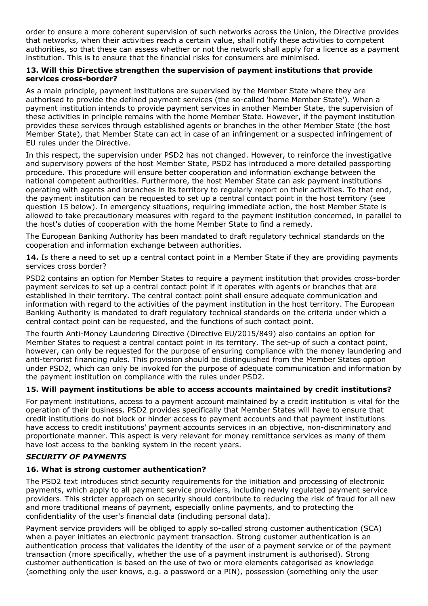order to ensure a more coherent supervision of such networks across the Union, the Directive provides that networks, when their activities reach a certain value, shall notify these activities to competent authorities, so that these can assess whether or not the network shall apply for a licence as a payment institution. This is to ensure that the financial risks for consumers are minimised.

#### **13. Will this Directive strengthen the supervision of payment institutions that provide services cross-border?**

As a main principle, payment institutions are supervised by the Member State where they are authorised to provide the defined payment services (the so-called 'home Member State'). When a payment institution intends to provide payment services in another Member State, the supervision of these activities in principle remains with the home Member State. However, if the payment institution provides these services through established agents or branches in the other Member State (the host Member State), that Member State can act in case of an infringement or a suspected infringement of EU rules under the Directive.

In this respect, the supervision under PSD2 has not changed. However, to reinforce the investigative and supervisory powers of the host Member State, PSD2 has introduced a more detailed passporting procedure. This procedure will ensure better cooperation and information exchange between the national competent authorities. Furthermore, the host Member State can ask payment institutions operating with agents and branches in its territory to regularly report on their activities. To that end, the payment institution can be requested to set up a central contact point in the host territory (see question 15 below). In emergency situations, requiring immediate action, the host Member State is allowed to take precautionary measures with regard to the payment institution concerned, in parallel to the host's duties of cooperation with the home Member State to find a remedy.

The European Banking Authority has been mandated to draft regulatory technical standards on the cooperation and information exchange between authorities.

**14.** Is there a need to set up a central contact point in a Member State if they are providing payments services cross border?

PSD2 contains an option for Member States to require a payment institution that provides cross-border payment services to set up a central contact point if it operates with agents or branches that are established in their territory. The central contact point shall ensure adequate communication and information with regard to the activities of the payment institution in the host territory. The European Banking Authority is mandated to draft regulatory technical standards on the criteria under which a central contact point can be requested, and the functions of such contact point.

The fourth Anti-Money Laundering Directive (Directive EU/2015/849) also contains an option for Member States to request a central contact point in its territory. The set-up of such a contact point, however, can only be requested for the purpose of ensuring compliance with the money laundering and anti-terrorist financing rules. This provision should be distinguished from the Member States option under PSD2, which can only be invoked for the purpose of adequate communication and information by the payment institution on compliance with the rules under PSD2.

### **15. Will payment institutions be able to access accounts maintained by credit institutions?**

For payment institutions, access to a payment account maintained by a credit institution is vital for the operation of their business. PSD2 provides specifically that Member States will have to ensure that credit institutions do not block or hinder access to payment accounts and that payment institutions have access to credit institutions' payment accounts services in an objective, non-discriminatory and proportionate manner. This aspect is very relevant for money remittance services as many of them have lost access to the banking system in the recent years.

### *SECURITY OF PAYMENTS*

### **16. What is strong customer authentication?**

The PSD2 text introduces strict security requirements for the initiation and processing of electronic payments, which apply to all payment service providers, including newly regulated payment service providers. This stricter approach on security should contribute to reducing the risk of fraud for all new and more traditional means of payment, especially online payments, and to protecting the confidentiality of the user's financial data (including personal data).

Payment service providers will be obliged to apply so-called strong customer authentication (SCA) when a payer initiates an electronic payment transaction. Strong customer authentication is an authentication process that validates the identity of the user of a payment service or of the payment transaction (more specifically, whether the use of a payment instrument is authorised). Strong customer authentication is based on the use of two or more elements categorised as knowledge (something only the user knows, e.g. a password or a PIN), possession (something only the user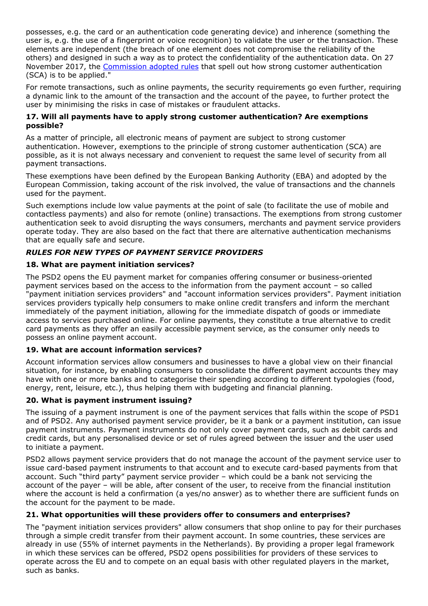possesses, e.g. the card or an authentication code generating device) and inherence (something the user is, e.g. the use of a fingerprint or voice recognition) to validate the user or the transaction. These elements are independent (the breach of one element does not compromise the reliability of the others) and designed in such a way as to protect the confidentiality of the authentication data. On 27 November 2017, the [Commission adopted rules](http://europa.eu/rapid/press-release_IP-17-4928_en.htm) that spell out how strong customer authentication (SCA) is to be applied."

For remote transactions, such as online payments, the security requirements go even further, requiring a dynamic link to the amount of the transaction and the account of the payee, to further protect the user by minimising the risks in case of mistakes or fraudulent attacks.

#### **17. Will all payments have to apply strong customer authentication? Are exemptions possible?**

As a matter of principle, all electronic means of payment are subject to strong customer authentication. However, exemptions to the principle of strong customer authentication (SCA) are possible, as it is not always necessary and convenient to request the same level of security from all payment transactions.

These exemptions have been defined by the European Banking Authority (EBA) and adopted by the European Commission, taking account of the risk involved, the value of transactions and the channels used for the payment.

Such exemptions include low value payments at the point of sale (to facilitate the use of mobile and contactless payments) and also for remote (online) transactions. The exemptions from strong customer authentication seek to avoid disrupting the ways consumers, merchants and payment service providers operate today. They are also based on the fact that there are alternative authentication mechanisms that are equally safe and secure.

## *RULES FOR NEW TYPES OF PAYMENT SERVICE PROVIDERS*

## **18. What are payment initiation services?**

The PSD2 opens the EU payment market for companies offering consumer or business-oriented payment services based on the access to the information from the payment account – so called "payment initiation services providers" and "account information services providers". Payment initiation services providers typically help consumers to make online credit transfers and inform the merchant immediately of the payment initiation, allowing for the immediate dispatch of goods or immediate access to services purchased online. For online payments, they constitute a true alternative to credit card payments as they offer an easily accessible payment service, as the consumer only needs to possess an online payment account.

### **19. What are account information services?**

Account information services allow consumers and businesses to have a global view on their financial situation, for instance, by enabling consumers to consolidate the different payment accounts they may have with one or more banks and to categorise their spending according to different typologies (food, energy, rent, leisure, etc.), thus helping them with budgeting and financial planning.

### **20. What is payment instrument issuing?**

The issuing of a payment instrument is one of the payment services that falls within the scope of PSD1 and of PSD2. Any authorised payment service provider, be it a bank or a payment institution, can issue payment instruments. Payment instruments do not only cover payment cards, such as debit cards and credit cards, but any personalised device or set of rules agreed between the issuer and the user used to initiate a payment.

PSD2 allows payment service providers that do not manage the account of the payment service user to issue card-based payment instruments to that account and to execute card-based payments from that account. Such "third party" payment service provider – which could be a bank not servicing the account of the payer – will be able, after consent of the user, to receive from the financial institution where the account is held a confirmation (a yes/no answer) as to whether there are sufficient funds on the account for the payment to be made.

### **21. What opportunities will these providers offer to consumers and enterprises?**

The "payment initiation services providers" allow consumers that shop online to pay for their purchases through a simple credit transfer from their payment account. In some countries, these services are already in use (55% of internet payments in the Netherlands). By providing a proper legal framework in which these services can be offered, PSD2 opens possibilities for providers of these services to operate across the EU and to compete on an equal basis with other regulated players in the market, such as banks.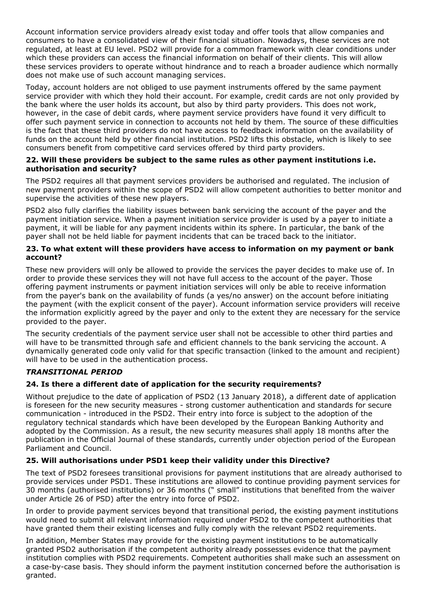Account information service providers already exist today and offer tools that allow companies and consumers to have a consolidated view of their financial situation. Nowadays, these services are not regulated, at least at EU level. PSD2 will provide for a common framework with clear conditions under which these providers can access the financial information on behalf of their clients. This will allow these services providers to operate without hindrance and to reach a broader audience which normally does not make use of such account managing services.

Today, account holders are not obliged to use payment instruments offered by the same payment service provider with which they hold their account. For example, credit cards are not only provided by the bank where the user holds its account, but also by third party providers. This does not work, however, in the case of debit cards, where payment service providers have found it very difficult to offer such payment service in connection to accounts not held by them. The source of these difficulties is the fact that these third providers do not have access to feedback information on the availability of funds on the account held by other financial institution. PSD2 lifts this obstacle, which is likely to see consumers benefit from competitive card services offered by third party providers.

#### **22. Will these providers be subject to the same rules as other payment institutions i.e. authorisation and security?**

The PSD2 requires all that payment services providers be authorised and regulated. The inclusion of new payment providers within the scope of PSD2 will allow competent authorities to better monitor and supervise the activities of these new players.

PSD2 also fully clarifies the liability issues between bank servicing the account of the payer and the payment initiation service. When a payment initiation service provider is used by a payer to initiate a payment, it will be liable for any payment incidents within its sphere. In particular, the bank of the payer shall not be held liable for payment incidents that can be traced back to the initiator.

#### **23. To what extent will these providers have access to information on my payment or bank account?**

These new providers will only be allowed to provide the services the payer decides to make use of. In order to provide these services they will not have full access to the account of the payer. Those offering payment instruments or payment initiation services will only be able to receive information from the payer's bank on the availability of funds (a yes/no answer) on the account before initiating the payment (with the explicit consent of the payer). Account information service providers will receive the information explicitly agreed by the payer and only to the extent they are necessary for the service provided to the payer.

The security credentials of the payment service user shall not be accessible to other third parties and will have to be transmitted through safe and efficient channels to the bank servicing the account. A dynamically generated code only valid for that specific transaction (linked to the amount and recipient) will have to be used in the authentication process.

## *TRANSITIONAL PERIOD*

## **24. Is there a different date of application for the security requirements?**

Without prejudice to the date of application of PSD2 (13 January 2018), a different date of application is foreseen for the new security measures - strong customer authentication and standards for secure communication - introduced in the PSD2. Their entry into force is subject to the adoption of the regulatory technical standards which have been developed by the European Banking Authority and adopted by the Commission. As a result, the new security measures shall apply 18 months after the publication in the Official Journal of these standards, currently under objection period of the European Parliament and Council.

### **25. Will authorisations under PSD1 keep their validity under this Directive?**

The text of PSD2 foresees transitional provisions for payment institutions that are already authorised to provide services under PSD1. These institutions are allowed to continue providing payment services for 30 months (authorised institutions) or 36 months (" small" institutions that benefited from the waiver under Article 26 of PSD) after the entry into force of PSD2.

In order to provide payment services beyond that transitional period, the existing payment institutions would need to submit all relevant information required under PSD2 to the competent authorities that have granted them their existing licenses and fully comply with the relevant PSD2 requirements.

In addition, Member States may provide for the existing payment institutions to be automatically granted PSD2 authorisation if the competent authority already possesses evidence that the payment institution complies with PSD2 requirements. Competent authorities shall make such an assessment on a case-by-case basis. They should inform the payment institution concerned before the authorisation is granted.